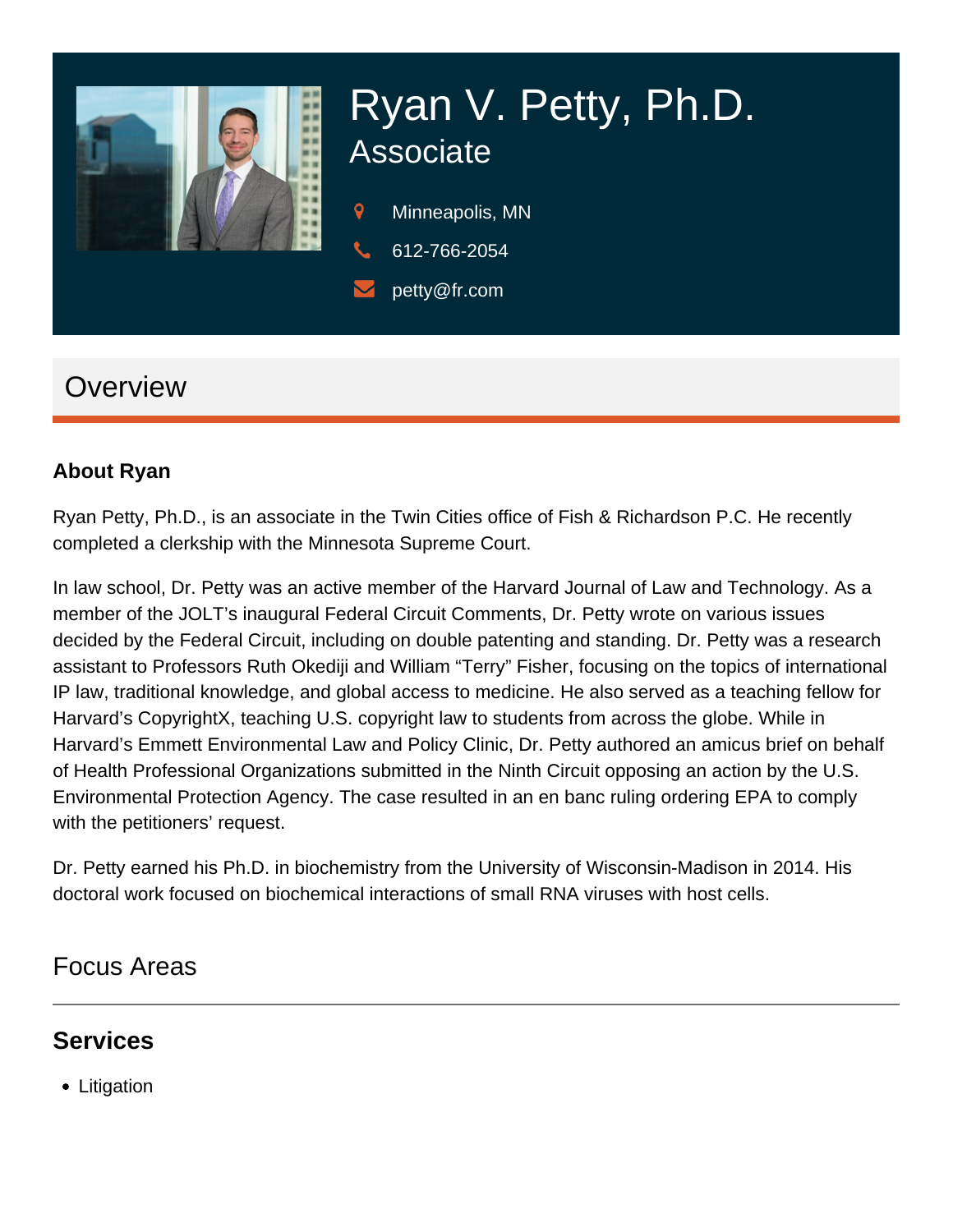

# Ryan V. Petty, Ph.D. Associate

- 9 Minneapolis, MN
- 612-766-2054
- petty@fr.com

## **Overview**

#### **About Ryan**

Ryan Petty, Ph.D., is an associate in the Twin Cities office of Fish & Richardson P.C. He recently completed a clerkship with the Minnesota Supreme Court.

In law school, Dr. Petty was an active member of the Harvard Journal of Law and Technology. As a member of the JOLT's inaugural Federal Circuit Comments, Dr. Petty wrote on various issues decided by the Federal Circuit, including on double patenting and standing. Dr. Petty was a research assistant to Professors Ruth Okediji and William "Terry" Fisher, focusing on the topics of international IP law, traditional knowledge, and global access to medicine. He also served as a teaching fellow for Harvard's CopyrightX, teaching U.S. copyright law to students from across the globe. While in Harvard's Emmett Environmental Law and Policy Clinic, Dr. Petty authored an amicus brief on behalf of Health Professional Organizations submitted in the Ninth Circuit opposing an action by the U.S. Environmental Protection Agency. The case resulted in an en banc ruling ordering EPA to comply with the petitioners' request.

Dr. Petty earned his Ph.D. in biochemistry from the University of Wisconsin-Madison in 2014. His doctoral work focused on biochemical interactions of small RNA viruses with host cells.

#### Focus Areas

#### **Services**

• Litigation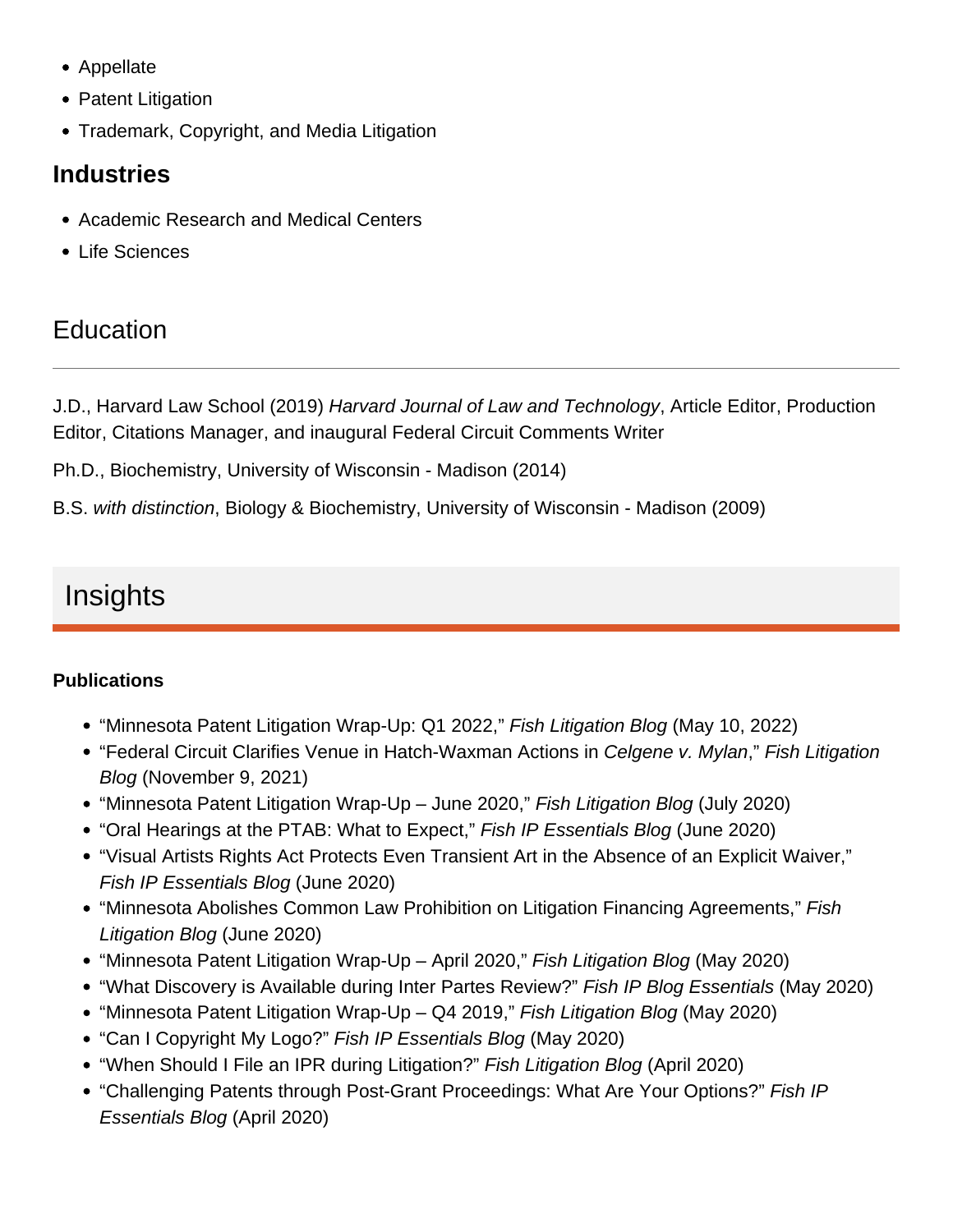- Appellate
- Patent Litigation
- Trademark, Copyright, and Media Litigation

#### Industries

- Academic Research and Medical Centers
- Life Sciences

## **Education**

J.D., Harvard Law School (2019) Harvard Journal of Law and Technology, Article Editor, Production Editor, Citations Manager, and inaugural Federal Circuit Comments Writer

Ph.D., Biochemistry, University of Wisconsin - Madison (2014)

B.S. with distinction, Biology & Biochemistry, University of Wisconsin - Madison (2009)

# Insights

**Publications** 

- ["Minnesota Patent Litigation Wrap-Up: Q1 2022,](https://www.fr.com/minnesota-patent-litigation-wrap-up-q1-2022/)" Fish Litigation Blog (May 10, 2022)
- ["Federal Circuit Clarifies Venue in Hatch-Waxman Actions in Celgene v. Mylan,](https://www.fr.com/?p=107910)" Fish Litigation Blog (November 9, 2021)
- ["Minnesota Patent Litigation Wrap-Up June 2020](https://www.fr.com/mn-patent-litigation-wrap-up-june-2020/)," Fish Litigation Blog (July 2020)
- ["Oral Hearings at the PTAB: What to Expect](https://www.fr.com/oral-hearings-at-the-ptab/)," Fish IP Essentials Blog (June 2020)
- ["Visual Artists Rights Act Protects Even Transient Art in the Absence of an Explicit Waiver](https://www.fr.com/vara-protects-transient-art-absence-explicit-waiver/)," Fish IP Essentials Blog (June 2020)
- ["Minnesota Abolishes Common Law Prohibition on Litigation Financing Agreements,](https://www.fr.com/mn-abolishes-prohibition-litigation-financing-agreements/)" Fish Litigation Blog (June 2020)
- ["Minnesota Patent Litigation Wrap-Up April 2020](https://www.fr.com/minnesota-patent-litigation-wrap-up-april-2020/)," Fish Litigation Blog (May 2020)
- ["What Discovery is Available during Inter Partes Review?](https://www.fr.com/what-discovery-available-inter-partes-review/)" Fish IP Blog Essentials (May 2020)
- ["Minnesota Patent Litigation Wrap-Up Q4 2019](https://www.fr.com/fish-litigation/minnesota-patent-litigation-wrap-up-q4-2019/)," Fish Litigation Blog (May 2020)
- ["Can I Copyright My Logo?](https://www.fr.com/can-i-copyright-my-logo/)" Fish IP Essentials Blog (May 2020)
- ["When Should I File an IPR during Litigation?](https://www.fr.com/when-should-i-file-an-ipr-during-litigation/)" Fish Litigation Blog (April 2020)
- ["Challenging Patents through Post-Grant Proceedings: What Are Your Options?"](https://www.fr.com/fish-litigation/challenging-patents-through-post-grant-proceedings-what-are-your-options/) Fish IP Essentials Blog (April 2020)